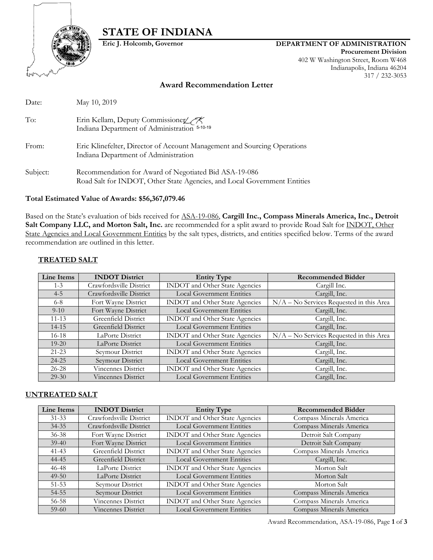# **STATE OF INDIANA**



## **Eric J. Holcomb, Governor DEPARTMENT OF ADMINISTRATION**

**Procurement Division** 402 W Washington Street, Room W468 Indianapolis, Indiana 46204 317 / 232-3053

## **Award Recommendation Letter**

| Date:    | May 10, 2019                                                                                                                      |
|----------|-----------------------------------------------------------------------------------------------------------------------------------|
| To:      | Erin Kellam, Deputy Commissioner<br>Indiana Department of Administration 5-10-19                                                  |
| From:    | Eric Klinefelter, Director of Account Management and Sourcing Operations<br>Indiana Department of Administration                  |
| Subject: | Recommendation for Award of Negotiated Bid ASA-19-086<br>Road Salt for INDOT, Other State Agencies, and Local Government Entities |

#### **Total Estimated Value of Awards: \$56,367,079.46**

Based on the State's evaluation of bids received for ASA-19-086, **Cargill Inc., Compass Minerals America, Inc., Detroit**  Salt Company LLC, and Morton Salt, Inc. are recommended for a split award to provide Road Salt for **INDOT**, Other State Agencies and Local Government Entities by the salt types, districts, and entities specified below. Terms of the award recommendation are outlined in this letter.

## **TREATED SALT**

| Line Items | <b>INDOT</b> District   | <b>Entity Type</b><br><b>Recommended Bidder</b> |                                            |  |
|------------|-------------------------|-------------------------------------------------|--------------------------------------------|--|
| $1 - 3$    | Crawfordsville District | <b>INDOT</b> and Other State Agencies           | Cargill Inc.                               |  |
| $4 - 5$    | Crawfordsville District | <b>Local Government Entities</b>                | Cargill, Inc.                              |  |
| $6 - 8$    | Fort Wayne District     | INDOT and Other State Agencies                  | $N/A - No$ Services Requested in this Area |  |
| $9 - 10$   | Fort Wayne District     | <b>Local Government Entities</b>                | Cargill, Inc.                              |  |
| $11 - 13$  | Greenfield District     | <b>INDOT</b> and Other State Agencies           | Cargill, Inc.                              |  |
| $14 - 15$  | Greenfield District     | <b>Local Government Entities</b>                | Cargill, Inc.                              |  |
| $16-18$    | LaPorte District        | <b>INDOT</b> and Other State Agencies           | N/A - No Services Requested in this Area   |  |
| $19 - 20$  | LaPorte District        | <b>Local Government Entities</b>                | Cargill, Inc.                              |  |
| $21 - 23$  | Seymour District        | <b>INDOT</b> and Other State Agencies           | Cargill, Inc.                              |  |
| $24 - 25$  | Seymour District        | <b>Local Government Entities</b>                | Cargill, Inc.                              |  |
| $26 - 28$  | Vincennes District      | INDOT and Other State Agencies                  | Cargill, Inc.                              |  |
| $29-30$    | Vincennes District      | <b>Local Government Entities</b>                | Cargill, Inc.                              |  |

#### **UNTREATED SALT**

| Line Items | <b>INDOT</b> District     | <b>Entity Type</b>                    | <b>Recommended Bidder</b> |
|------------|---------------------------|---------------------------------------|---------------------------|
| $31 - 33$  | Crawfordsville District   | <b>INDOT</b> and Other State Agencies | Compass Minerals America  |
| $34 - 35$  | Crawfordsville District   | <b>Local Government Entities</b>      | Compass Minerals America  |
| $36 - 38$  | Fort Wayne District       | <b>INDOT</b> and Other State Agencies | Detroit Salt Company      |
| $39-40$    | Fort Wayne District       | <b>Local Government Entities</b>      | Detroit Salt Company      |
| $41 - 43$  | Greenfield District       | INDOT and Other State Agencies        | Compass Minerals America  |
| 44-45      | Greenfield District       | <b>Local Government Entities</b>      | Cargill, Inc.             |
| $46 - 48$  | LaPorte District          | INDOT and Other State Agencies        | Morton Salt               |
| $49-50$    | LaPorte District          | <b>Local Government Entities</b>      | Morton Salt               |
| $51 - 53$  | Seymour District          | INDOT and Other State Agencies        | Morton Salt               |
| 54-55      | Seymour District          | <b>Local Government Entities</b>      | Compass Minerals America  |
| 56-58      | <b>Vincennes District</b> | INDOT and Other State Agencies        | Compass Minerals America  |
| $59-60$    | Vincennes District        | <b>Local Government Entities</b>      | Compass Minerals America  |

Award Recommendation, ASA-19-086, Page **1** of **3**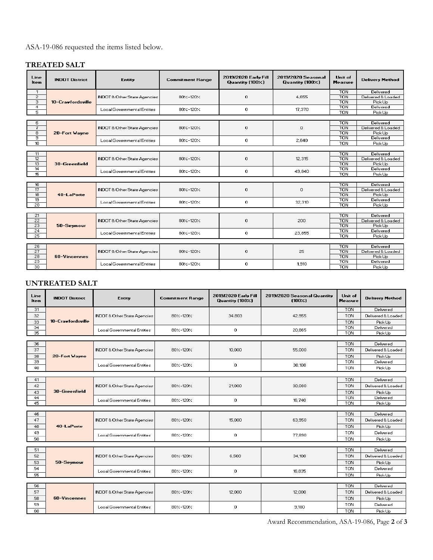# ASA-19-086 requested the items listed below.

# **TREATED SALT**

| Line<br><b>Item</b> | <b>INDOT District</b> | <b>Entity</b>                           | <b>Commitment Range</b> | 2019/2020 Early Fill<br>Quantity (100%) | 2019/2020 Seasonal<br>Quantity (100%) | Unit of<br><b>Measure</b> | <b>Delivery Method</b> |
|---------------------|-----------------------|-----------------------------------------|-------------------------|-----------------------------------------|---------------------------------------|---------------------------|------------------------|
| $\mathbf{1}$        |                       |                                         |                         |                                         |                                       | <b>TON</b>                | Delivered              |
| $\overline{2}$      |                       | <b>INDOT &amp; Other State Agencies</b> | $80 - 120$              | 0                                       | 4,655                                 | <b>TON</b>                | Delivered & Loaded     |
| 3                   | 10-Crawfordsville     |                                         |                         |                                         |                                       | <b>TON</b>                | Pick Up                |
| $\overline{4}$      |                       | <b>Local Governmental Entities</b>      | 80%-120%                | 0                                       | 17,370                                | <b>TON</b>                | Delivered              |
| 5                   |                       |                                         |                         |                                         |                                       | <b>TON</b>                | Pick Up                |
|                     |                       |                                         |                         |                                         |                                       |                           |                        |
| 6                   |                       |                                         |                         |                                         |                                       | <b>TON</b>                | Delivered              |
| 7                   |                       | <b>INDOT &amp; Other State Agencies</b> | 80%-120%                | 0                                       | $\circ$                               | <b>TON</b>                | Delivered & Loaded     |
| $\overline{8}$      | 20-Fort Wayne         |                                         |                         |                                         |                                       | <b>TON</b>                | Pick Up                |
| э                   |                       | Local Governmental Entities             | $80 - 120$              | 0                                       | 2.640                                 | <b>TON</b>                | Delivered              |
| 10 <sub>10</sub>    |                       |                                         |                         |                                         |                                       | <b>TON</b>                | Pick Up                |
| 11                  |                       |                                         |                         |                                         |                                       | <b>TON</b>                | Delivered              |
| 12                  |                       | <b>INDOT &amp; Other State Agencies</b> | $80 - 120$              | $\Omega$                                | 12,315                                | <b>TON</b>                | Delivered & Loaded     |
| 13                  | 30-Greenfield         |                                         |                         |                                         |                                       | <b>TON</b>                | Pick Up                |
| 14                  |                       | <b>Local Governmental Entities</b>      | 80%-120%                | 0                                       | 49,840                                | <b>TON</b>                | Delivered              |
| 15                  |                       |                                         |                         |                                         |                                       | <b>TON</b>                | Pick Up                |
|                     |                       |                                         |                         |                                         |                                       |                           |                        |
| 16                  |                       |                                         |                         |                                         |                                       | <b>TON</b>                | Delivered              |
| 17                  |                       | <b>INDOT &amp; Other State Agencies</b> | 80%-120%                | 0                                       | $\mathbf{0}$                          | <b>TON</b>                | Delivered & Loaded     |
| 18 <sup>2</sup>     | 40-LaPorte            |                                         |                         |                                         |                                       | <b>TON</b>                | Pick Up                |
| 19                  |                       |                                         |                         |                                         |                                       | <b>TON</b>                | Delivered              |
| 20                  |                       | <b>Local Governmental Entities</b>      | 80%-120%                | 0                                       | 32,310                                | TON                       | Pick Up                |
|                     |                       |                                         |                         |                                         |                                       |                           |                        |
| 21                  |                       | <b>INDOT &amp; Other State Agencies</b> | $80 - 120$              | 0                                       | 200                                   | <b>TON</b>                | Delivered              |
| $\overline{22}$     |                       |                                         |                         |                                         |                                       | <b>TON</b>                | Delivered & Loaded     |
| $\overline{23}$     | 50-Seymour            |                                         |                         |                                         |                                       | <b>TON</b>                | Pick Up                |
| $\overline{24}$     |                       | Local Governmental Entities             | $80 - 120$              | 0                                       | 23,855                                | <b>TON</b>                | Delivered              |
| 25                  |                       |                                         |                         |                                         |                                       | <b>TON</b>                | Pick Up                |
|                     |                       |                                         |                         |                                         |                                       |                           |                        |
| 26                  |                       |                                         |                         |                                         | 25                                    | <b>TON</b>                | Delivered              |
| 27                  |                       | <b>INDOT &amp; Other State Agencies</b> | $80 - 120$              | $\circ$                                 |                                       | <b>TON</b>                | Delivered & Loaded     |
| 28                  | 60-Vincennes          |                                         |                         |                                         |                                       | <b>TON</b>                | Pick Up                |
| $\overline{29}$     |                       | <b>Local Governmental Entities</b>      | 80%-120%                | 0                                       | 1,910                                 | <b>TON</b>                | Delivered              |
| 30                  |                       |                                         |                         |                                         |                                       | <b>TON</b>                | Pick Up                |

# **UNTREATED SALT**

| Line<br>ltem | <b>INDOT District</b>       | <b>Entity</b>                                         | <b>Commitment Range</b> | 2019/2020 Early Fill<br>Quantity (100%) | 2019/2020 Seasonal Quantity<br>$(100 \times)$ | Unit of<br><b>Measure</b> | <b>Delivery Method</b> |
|--------------|-----------------------------|-------------------------------------------------------|-------------------------|-----------------------------------------|-----------------------------------------------|---------------------------|------------------------|
| 31           |                             | <b>INDOT &amp; Other State Agencies</b>               | $80 - 120$              | 34,803                                  |                                               | <b>TON</b>                | Delivered              |
| 32           |                             |                                                       |                         |                                         | 42.955                                        | <b>TON</b>                | Delivered & Loaded     |
| 33           | 10-Crawfordsville           |                                                       |                         |                                         |                                               | <b>TON</b>                | Pick Up                |
| 34           |                             | Local Governmental Entities                           | $80 - 120$              | $\mathbf{0}$                            | 20.865                                        | <b>TON</b><br><b>TON</b>  | Delivered              |
| 35           |                             |                                                       |                         |                                         |                                               |                           | Pick Up                |
| 36           |                             |                                                       |                         |                                         |                                               | <b>TON</b>                | Delivered              |
| 37           |                             | <b>INDOT &amp; Other State Agencies</b>               | $80 - 120$              | 10,000                                  | 55,000                                        | <b>TON</b>                | Delivered & Loaded     |
| 38           | 20-Fort Wayne               |                                                       |                         |                                         |                                               | <b>TON</b>                | Pick Up                |
| 39           |                             |                                                       |                         |                                         |                                               | <b>TON</b>                | Delivered              |
| 40           |                             | Local Governmental Entities                           | $80 - 120$              | $\circ$                                 | 30,108                                        | <b>TON</b>                | Pick Up                |
|              |                             |                                                       |                         |                                         |                                               |                           |                        |
| 41           |                             | <b>INDOT &amp; Other State Agencies</b>               |                         |                                         |                                               | <b>TON</b>                | Delivered              |
| 42           |                             |                                                       | $80 - 120$              | 21,000                                  | 30,080                                        | <b>TON</b>                | Delivered & Loaded     |
| 43           | 30-Greenfield               |                                                       |                         |                                         |                                               | <b>TON</b>                | Pick Up                |
| 44<br>45     |                             | Local Governmental Entities                           | $80 - 120$              | $\mathbf 0$                             | 16,740                                        | <b>TON</b><br><b>TON</b>  | Delivered<br>Pick Up   |
|              |                             |                                                       |                         |                                         |                                               |                           |                        |
| 46           |                             | <b>INDOT &amp; Other State Agencies</b>               | $80 - 120$              | 15,000                                  | 63,950                                        | <b>TON</b>                | Delivered              |
| 47           |                             |                                                       |                         |                                         |                                               | <b>TON</b>                | Delivered & Loaded     |
| 48           | 40-LaPorte                  |                                                       |                         |                                         |                                               | <b>TON</b>                | Pick Up                |
| 49           |                             | Local Governmental Entities                           | 80%-120%                | $\circ$                                 | 77,890                                        | <b>TON</b>                | Delivered              |
| 50           |                             |                                                       |                         |                                         |                                               | <b>TON</b>                | Pick Up                |
|              |                             |                                                       |                         |                                         |                                               |                           |                        |
| 51           |                             |                                                       |                         |                                         |                                               | <b>TON</b>                | Delivered              |
| 52           | 50-Seymour                  | <b>INDOT &amp; Other State Agencies</b>               | $80 - 120$              | 6,500                                   | 34,100                                        | <b>TON</b>                | Delivered & Loaded     |
| 53           |                             |                                                       |                         |                                         |                                               | <b>TON</b>                | Pick Up                |
| 54           |                             | <b>Local Governmental Entities</b>                    | $80 - 120$              | 0                                       | 16,835                                        | <b>TON</b>                | Delivered              |
| 55           |                             |                                                       |                         |                                         |                                               | <b>TON</b>                | Pick Up                |
| 56           |                             |                                                       |                         |                                         |                                               | <b>TON</b>                | Delivered              |
| 57           |                             | <b>INDOT &amp; Other State Agencies</b><br>$80 - 120$ |                         | 12,000                                  | 12,000                                        | <b>TON</b>                | Delivered & Loaded     |
| 58           | 60-Vincennes                |                                                       |                         |                                         |                                               | <b>TON</b>                | Pick Up                |
| 59           | Local Governmental Entities |                                                       |                         |                                         |                                               | <b>TON</b>                | Delivered              |
| 60           |                             |                                                       | 80%-120%                | $\Omega$                                | 9.180                                         | <b>TON</b>                | Pick Up                |

Award Recommendation, ASA-19-086, Page **2** of **3**